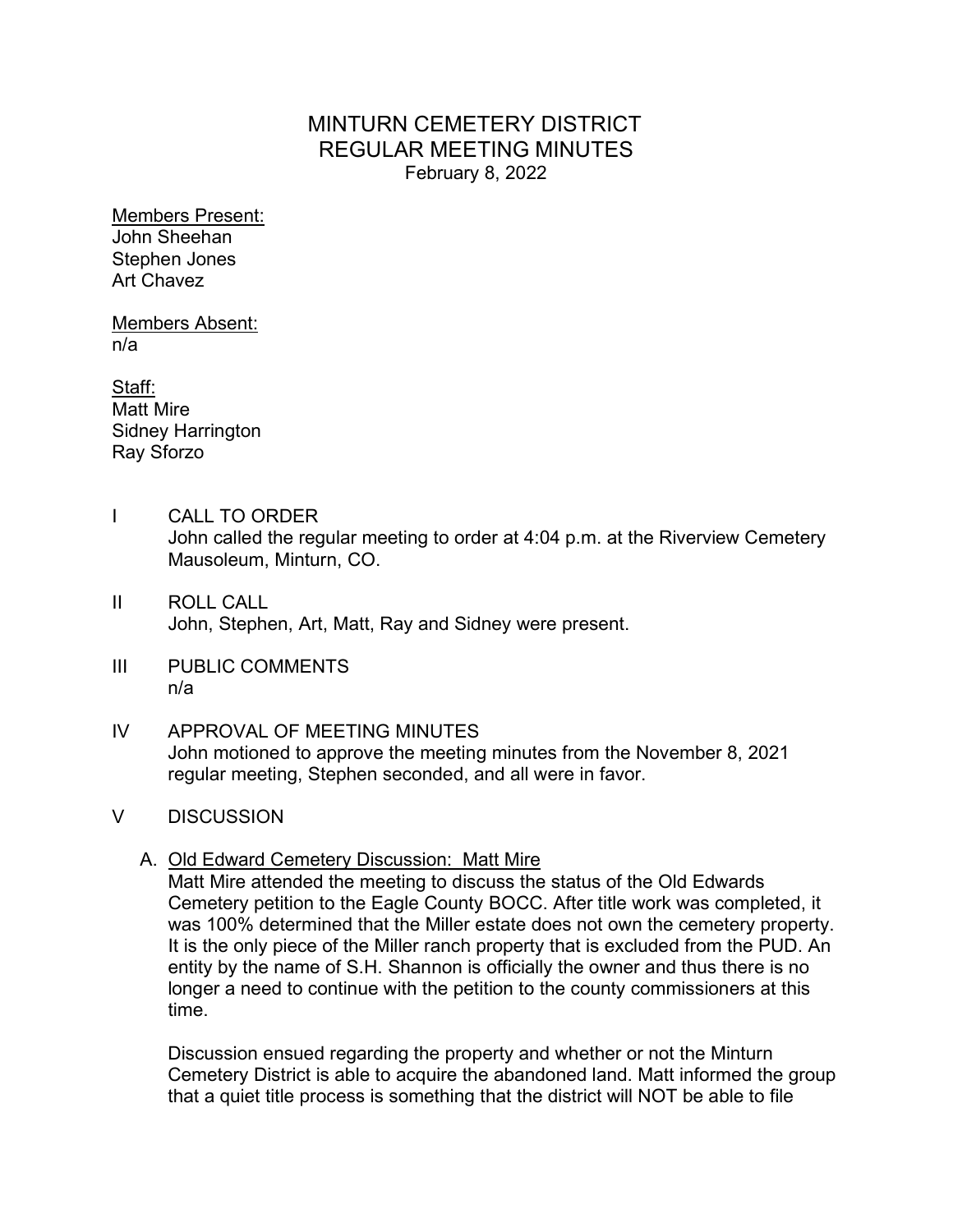# MINTURN CEMETERY DISTRICT REGULAR MEETING MINUTES February 8, 2022

Members Present: John Sheehan Stephen Jones Art Chavez

Members Absent: n/a

Staff: Matt Mire Sidney Harrington Ray Sforzo

- I CALL TO ORDER John called the regular meeting to order at 4:04 p.m. at the Riverview Cemetery Mausoleum, Minturn, CO.
- II ROLL CALL John, Stephen, Art, Matt, Ray and Sidney were present.
- III PUBLIC COMMENTS n/a
- IV APPROVAL OF MEETING MINUTES John motioned to approve the meeting minutes from the November 8, 2021 regular meeting, Stephen seconded, and all were in favor.
- V DISCUSSION
	- A. Old Edward Cemetery Discussion: Matt Mire

Matt Mire attended the meeting to discuss the status of the Old Edwards Cemetery petition to the Eagle County BOCC. After title work was completed, it was 100% determined that the Miller estate does not own the cemetery property. It is the only piece of the Miller ranch property that is excluded from the PUD. An entity by the name of S.H. Shannon is officially the owner and thus there is no longer a need to continue with the petition to the county commissioners at this time.

Discussion ensued regarding the property and whether or not the Minturn Cemetery District is able to acquire the abandoned land. Matt informed the group that a quiet title process is something that the district will NOT be able to file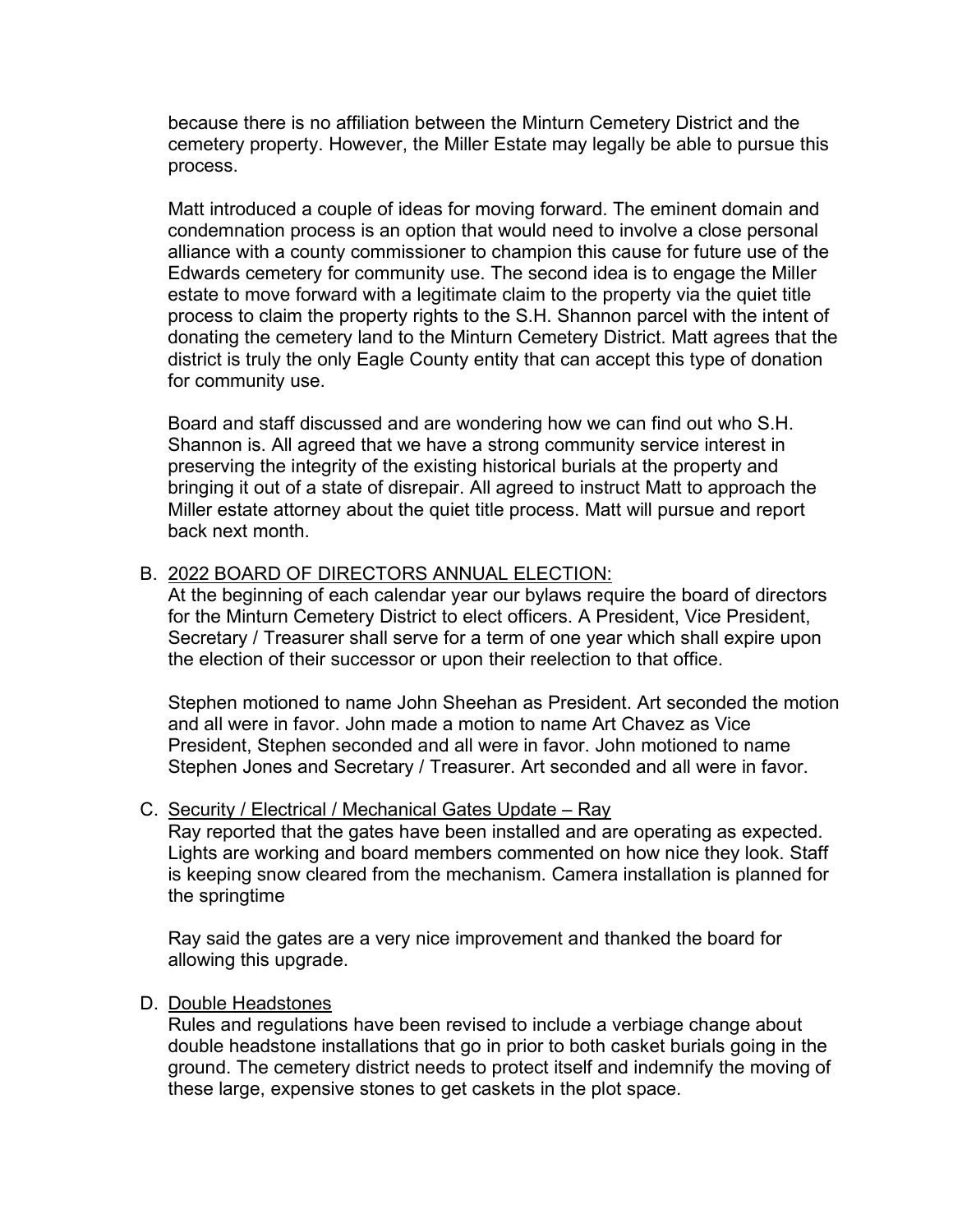because there is no affiliation between the Minturn Cemetery District and the cemetery property. However, the Miller Estate may legally be able to pursue this process.

Matt introduced a couple of ideas for moving forward. The eminent domain and condemnation process is an option that would need to involve a close personal alliance with a county commissioner to champion this cause for future use of the Edwards cemetery for community use. The second idea is to engage the Miller estate to move forward with a legitimate claim to the property via the quiet title process to claim the property rights to the S.H. Shannon parcel with the intent of donating the cemetery land to the Minturn Cemetery District. Matt agrees that the district is truly the only Eagle County entity that can accept this type of donation for community use.

Board and staff discussed and are wondering how we can find out who S.H. Shannon is. All agreed that we have a strong community service interest in preserving the integrity of the existing historical burials at the property and bringing it out of a state of disrepair. All agreed to instruct Matt to approach the Miller estate attorney about the quiet title process. Matt will pursue and report back next month.

## B. 2022 BOARD OF DIRECTORS ANNUAL ELECTION:

At the beginning of each calendar year our bylaws require the board of directors for the Minturn Cemetery District to elect officers. A President, Vice President, Secretary / Treasurer shall serve for a term of one year which shall expire upon the election of their successor or upon their reelection to that office.

Stephen motioned to name John Sheehan as President. Art seconded the motion and all were in favor. John made a motion to name Art Chavez as Vice President, Stephen seconded and all were in favor. John motioned to name Stephen Jones and Secretary / Treasurer. Art seconded and all were in favor.

### C. Security / Electrical / Mechanical Gates Update – Ray

Ray reported that the gates have been installed and are operating as expected. Lights are working and board members commented on how nice they look. Staff is keeping snow cleared from the mechanism. Camera installation is planned for the springtime

Ray said the gates are a very nice improvement and thanked the board for allowing this upgrade.

### D. Double Headstones

Rules and regulations have been revised to include a verbiage change about double headstone installations that go in prior to both casket burials going in the ground. The cemetery district needs to protect itself and indemnify the moving of these large, expensive stones to get caskets in the plot space.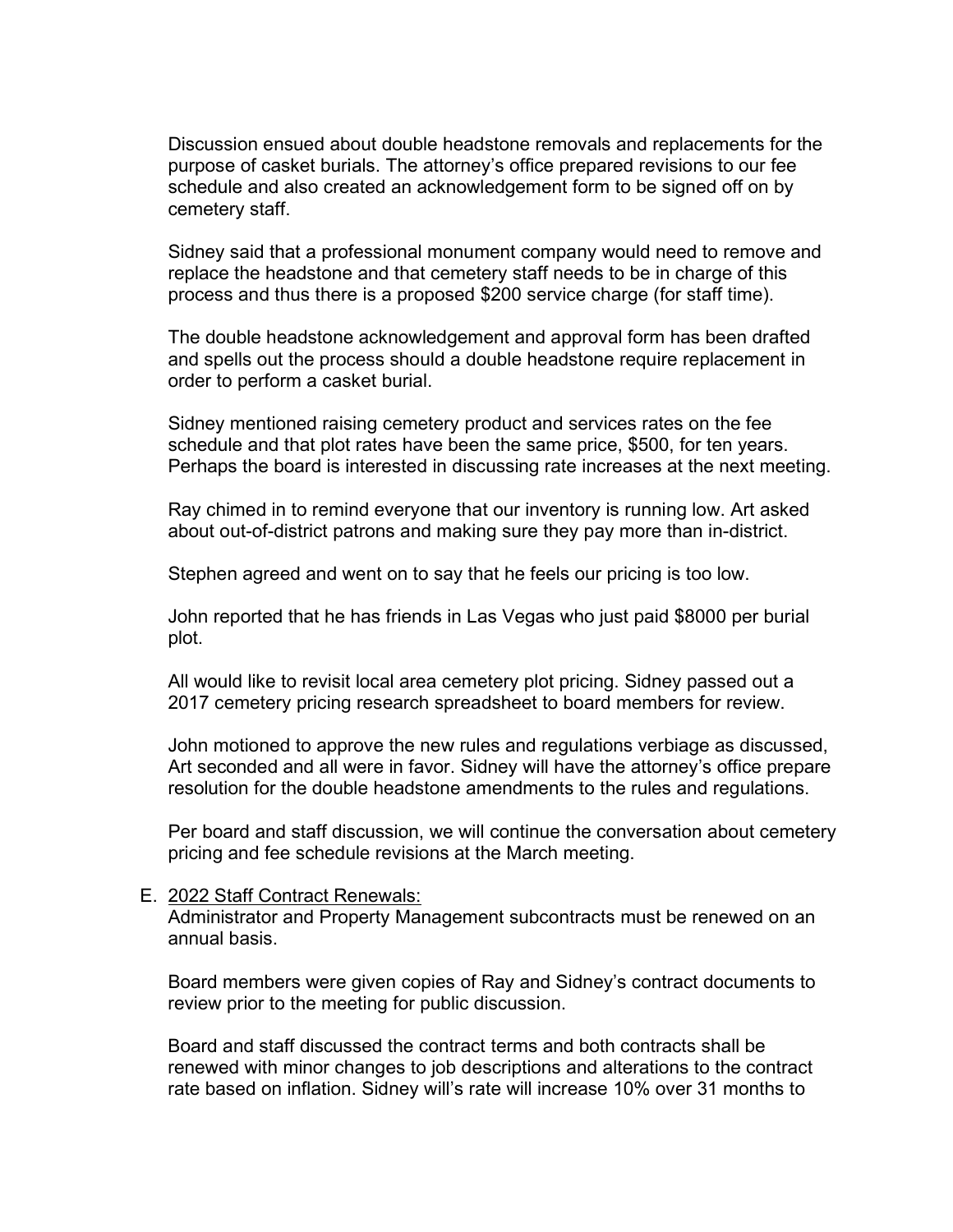Discussion ensued about double headstone removals and replacements for the purpose of casket burials. The attorney's office prepared revisions to our fee schedule and also created an acknowledgement form to be signed off on by cemetery staff.

Sidney said that a professional monument company would need to remove and replace the headstone and that cemetery staff needs to be in charge of this process and thus there is a proposed \$200 service charge (for staff time).

The double headstone acknowledgement and approval form has been drafted and spells out the process should a double headstone require replacement in order to perform a casket burial.

Sidney mentioned raising cemetery product and services rates on the fee schedule and that plot rates have been the same price, \$500, for ten years. Perhaps the board is interested in discussing rate increases at the next meeting.

Ray chimed in to remind everyone that our inventory is running low. Art asked about out-of-district patrons and making sure they pay more than in-district.

Stephen agreed and went on to say that he feels our pricing is too low.

John reported that he has friends in Las Vegas who just paid \$8000 per burial plot.

All would like to revisit local area cemetery plot pricing. Sidney passed out a 2017 cemetery pricing research spreadsheet to board members for review.

John motioned to approve the new rules and regulations verbiage as discussed, Art seconded and all were in favor. Sidney will have the attorney's office prepare resolution for the double headstone amendments to the rules and regulations.

Per board and staff discussion, we will continue the conversation about cemetery pricing and fee schedule revisions at the March meeting.

#### E. 2022 Staff Contract Renewals:

Administrator and Property Management subcontracts must be renewed on an annual basis.

Board members were given copies of Ray and Sidney's contract documents to review prior to the meeting for public discussion.

Board and staff discussed the contract terms and both contracts shall be renewed with minor changes to job descriptions and alterations to the contract rate based on inflation. Sidney will's rate will increase 10% over 31 months to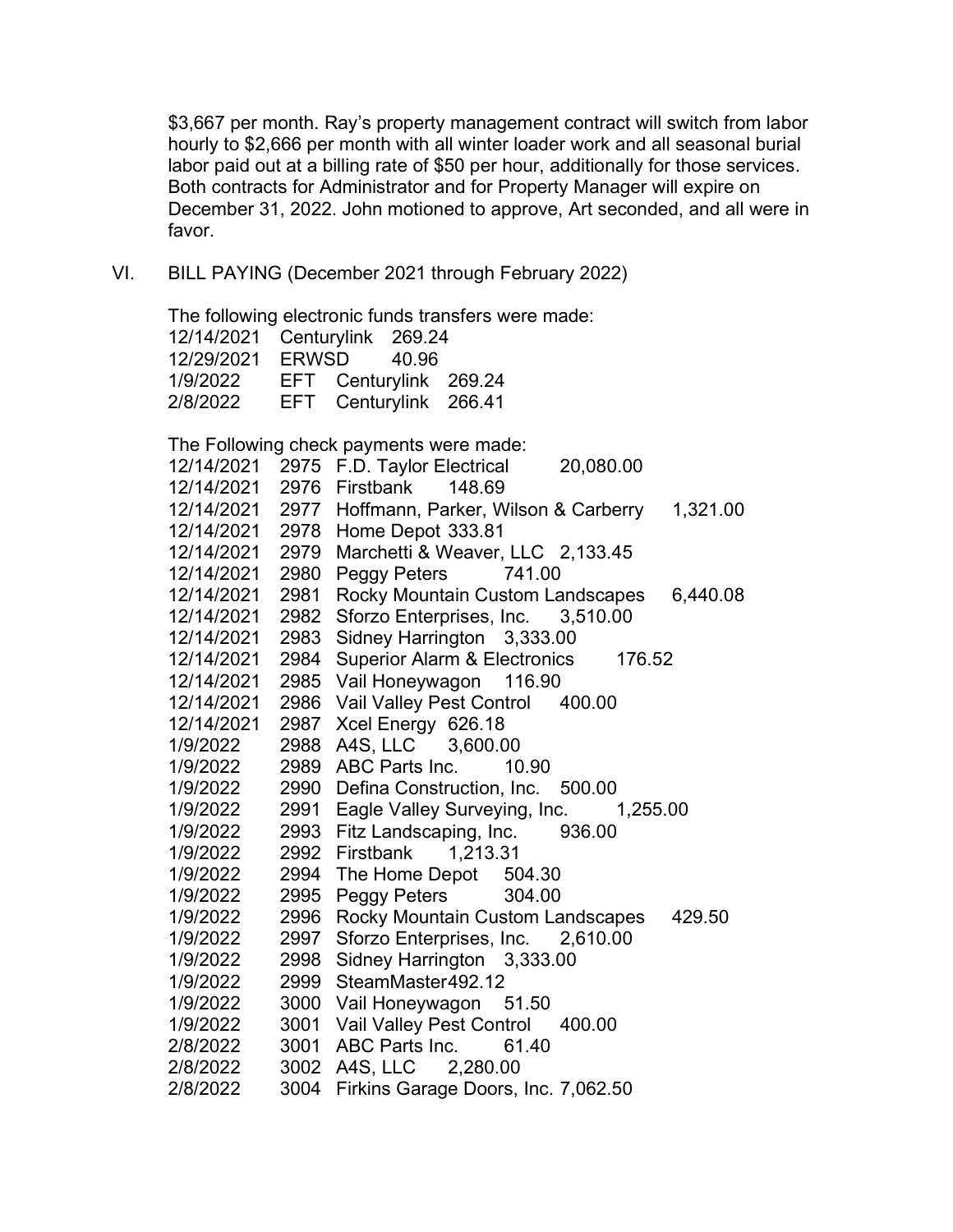\$3,667 per month. Ray's property management contract will switch from labor hourly to \$2,666 per month with all winter loader work and all seasonal burial labor paid out at a billing rate of \$50 per hour, additionally for those services. Both contracts for Administrator and for Property Manager will expire on December 31, 2022. John motioned to approve, Art seconded, and all were in favor.

VI. BILL PAYING (December 2021 through February 2022)

The following electronic funds transfers were made: 12/14/2021 Centurylink 269.24 12/29/2021 ERWSD 40.96 1/9/2022 EFT Centurylink 269.24 2/8/2022 EFT Centurylink 266.41

The Following check payments were made:

| 12/14/2021 | 2975 | F.D. Taylor Electrical<br>20,080.00               |
|------------|------|---------------------------------------------------|
| 12/14/2021 | 2976 | Firstbank<br>148.69                               |
| 12/14/2021 | 2977 | Hoffmann, Parker, Wilson & Carberry<br>1,321.00   |
| 12/14/2021 | 2978 | Home Depot 333.81                                 |
| 12/14/2021 | 2979 | Marchetti & Weaver, LLC 2,133.45                  |
| 12/14/2021 | 2980 | Peggy Peters<br>741.00                            |
| 12/14/2021 | 2981 | Rocky Mountain Custom Landscapes<br>6,440.08      |
| 12/14/2021 | 2982 | Sforzo Enterprises, Inc. 3,510.00                 |
| 12/14/2021 | 2983 | Sidney Harrington 3,333.00                        |
| 12/14/2021 | 2984 | <b>Superior Alarm &amp; Electronics</b><br>176.52 |
| 12/14/2021 | 2985 | Vail Honeywagon<br>116.90                         |
| 12/14/2021 | 2986 | Vail Valley Pest Control 400.00                   |
| 12/14/2021 | 2987 | Xcel Energy 626.18                                |
| 1/9/2022   | 2988 | A4S, LLC 3,600.00                                 |
| 1/9/2022   | 2989 | ABC Parts Inc.<br>10.90                           |
| 1/9/2022   | 2990 | Defina Construction, Inc. 500.00                  |
| 1/9/2022   | 2991 | Eagle Valley Surveying, Inc. 1,255.00             |
| 1/9/2022   | 2993 | Fitz Landscaping, Inc. 936.00                     |
| 1/9/2022   | 2992 | Firstbank  1,213.31                               |
| 1/9/2022   | 2994 | The Home Depot<br>504.30                          |
| 1/9/2022   | 2995 | Peggy Peters 304.00                               |
| 1/9/2022   | 2996 | Rocky Mountain Custom Landscapes<br>429.50        |
| 1/9/2022   | 2997 | Sforzo Enterprises, Inc. 2,610.00                 |
| 1/9/2022   | 2998 | Sidney Harrington 3,333.00                        |
| 1/9/2022   | 2999 | SteamMaster492.12                                 |
| 1/9/2022   | 3000 | Vail Honeywagon 51.50                             |
| 1/9/2022   | 3001 | Vail Valley Pest Control<br>400.00                |
| 2/8/2022   | 3001 | ABC Parts Inc.<br>61.40                           |
| 2/8/2022   | 3002 | A4S, LLC 2,280.00                                 |
| 2/8/2022   | 3004 | Firkins Garage Doors, Inc. 7,062.50               |